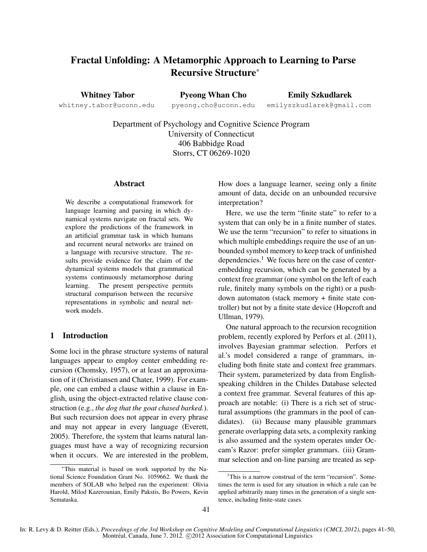# Fractal Unfolding: A Metamorphic Approach to Learning to Parse Recursive Structure<sup>∗</sup>

Whitney Tabor whitney.tabor@uconn.edu

Pyeong Whan Cho pyeong.cho@uconn.edu

Emily Szkudlarek emilyszkudlarek@gmail.com

Department of Psychology and Cognitive Science Program University of Connecticut 406 Babbidge Road Storrs, CT 06269-1020

## Abstract

We describe a computational framework for language learning and parsing in which dynamical systems navigate on fractal sets. We explore the predictions of the framework in an artificial grammar task in which humans and recurrent neural networks are trained on a language with recursive structure. The results provide evidence for the claim of the dynamical systems models that grammatical systems continuously metamorphose during learning. The present perspective permits structural comparison between the recursive representations in symbolic and neural network models.

## 1 Introduction

Some loci in the phrase structure systems of natural languages appear to employ center embedding recursion (Chomsky, 1957), or at least an approximation of it (Christiansen and Chater, 1999). For example, one can embed a clause within a clause in English, using the object-extracted relative clause construction (e.g., *the dog that the goat chased barked.*). But such recursion does not appear in every phrase and may not appear in every language (Everett, 2005). Therefore, the system that learns natural languages must have a way of recognizing recursion when it occurs. We are interested in the problem, How does a language learner, seeing only a finite amount of data, decide on an unbounded recursive interpretation?

Here, we use the term "finite state" to refer to a system that can only be in a finite number of states. We use the term "recursion" to refer to situations in which multiple embeddings require the use of an unbounded symbol memory to keep track of unfinished dependencies.<sup>1</sup> We focus here on the case of centerembedding recursion, which can be generated by a context free grammar (one symbol on the left of each rule, finitely many symbols on the right) or a pushdown automaton (stack memory + finite state controller) but not by a finite state device (Hopcroft and Ullman, 1979).

One natural approach to the recursion recognition problem, recently explored by Perfors et al. (2011), involves Bayesian grammar selection. Perfors et al.'s model considered a range of grammars, including both finite state and context free grammars. Their system, parameterized by data from Englishspeaking children in the Childes Database selected a context free grammar. Several features of this approach are notable: (i) There is a rich set of structural assumptions (the grammars in the pool of candidates). (ii) Because many plausible grammars generate overlapping data sets, a complexity ranking is also assumed and the system operates under Occam's Razor: prefer simpler grammars. (iii) Grammar selection and on-line parsing are treated as sep-

<sup>∗</sup>This material is based on work supported by the National Science Foundation Grant No. 1059662. We thank the members of SOLAB who helped run the experiment: Olivia Harold, Milod Kazerounian, Emily Pakstis, Bo Powers, Kevin Semataska.

<sup>&</sup>lt;sup>1</sup>This is a narrow construal of the term "recursion". Sometimes the term is used for any situation in which a rule can be applied arbitrarily many times in the generation of a single sentence, including finite-state cases.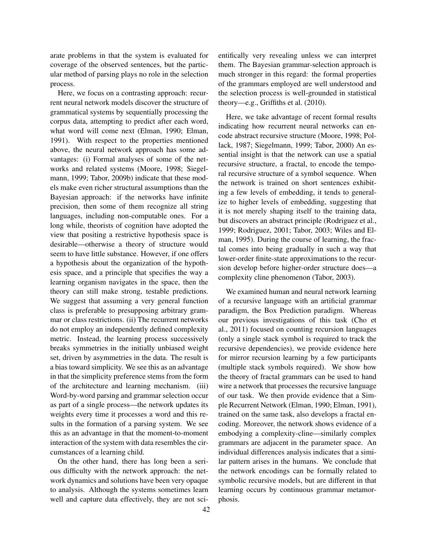arate problems in that the system is evaluated for coverage of the observed sentences, but the particular method of parsing plays no role in the selection process.

Here, we focus on a contrasting approach: recurrent neural network models discover the structure of grammatical systems by sequentially processing the corpus data, attempting to predict after each word, what word will come next (Elman, 1990; Elman, 1991). With respect to the properties mentioned above, the neural network approach has some advantages: (i) Formal analyses of some of the networks and related systems (Moore, 1998; Siegelmann, 1999; Tabor, 2009b) indicate that these models make even richer structural assumptions than the Bayesian approach: if the networks have infinite precision, then some of them recognize all string languages, including non-computable ones. For a long while, theorists of cognition have adopted the view that positing a restrictive hypothesis space is desirable—otherwise a theory of structure would seem to have little substance. However, if one offers a hypothesis about the organization of the hypothesis space, and a principle that specifies the way a learning organism navigates in the space, then the theory can still make strong, testable predictions. We suggest that assuming a very general function class is preferable to presupposing arbitrary grammar or class restrictions. (ii) The recurrent networks do not employ an independently defined complexity metric. Instead, the learning process successively breaks symmetries in the initially unbiased weight set, driven by asymmetries in the data. The result is a bias toward simplicity. We see this as an advantage in that the simplicity preference stems from the form of the architecture and learning mechanism. (iii) Word-by-word parsing and grammar selection occur as part of a single process—the network updates its weights every time it processes a word and this results in the formation of a parsing system. We see this as an advantage in that the moment-to-moment interaction of the system with data resembles the circumstances of a learning child.

On the other hand, there has long been a serious difficulty with the network approach: the network dynamics and solutions have been very opaque to analysis. Although the systems sometimes learn well and capture data effectively, they are not scientifically very revealing unless we can interpret them. The Bayesian grammar-selection approach is much stronger in this regard: the formal properties of the grammars employed are well understood and the selection process is well-grounded in statistical theory—e.g., Griffiths et al. (2010).

Here, we take advantage of recent formal results indicating how recurrent neural networks can encode abstract recursive structure (Moore, 1998; Pollack, 1987; Siegelmann, 1999; Tabor, 2000) An essential insight is that the network can use a spatial recursive structure, a fractal, to encode the temporal recursive structure of a symbol sequence. When the network is trained on short sentences exhibiting a few levels of embedding, it tends to generalize to higher levels of embedding, suggesting that it is not merely shaping itself to the training data, but discovers an abstract principle (Rodriguez et al., 1999; Rodriguez, 2001; Tabor, 2003; Wiles and Elman, 1995). During the course of learning, the fractal comes into being gradually in such a way that lower-order finite-state approximations to the recursion develop before higher-order structure does—a complexity cline phenomenon (Tabor, 2003).

We examined human and neural network learning of a recursive language with an artificial grammar paradigm, the Box Prediction paradigm. Whereas our previous investigations of this task (Cho et al., 2011) focused on counting recursion languages (only a single stack symbol is required to track the recursive dependencies), we provide evidence here for mirror recursion learning by a few participants (multiple stack symbols required). We show how the theory of fractal grammars can be used to hand wire a network that processes the recursive language of our task. We then provide evidence that a Simple Recurrent Network (Elman, 1990; Elman, 1991), trained on the same task, also develops a fractal encoding. Moreover, the network shows evidence of a embodying a complexity-cline—similarly complex grammars are adjacent in the parameter space. An individual differences analysis indicates that a similar pattern arises in the humans. We conclude that the network encodings can be formally related to symbolic recursive models, but are different in that learning occurs by continuous grammar metamorphosis.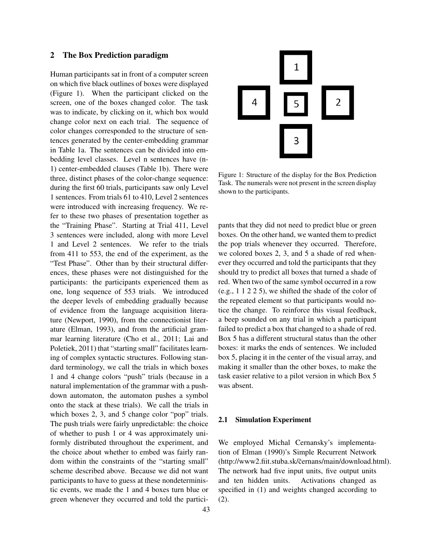### 2 The Box Prediction paradigm

Human participants sat in front of a computer screen on which five black outlines of boxes were displayed (Figure 1). When the participant clicked on the screen, one of the boxes changed color. The task was to indicate, by clicking on it, which box would change color next on each trial. The sequence of color changes corresponded to the structure of sentences generated by the center-embedding grammar in Table 1a. The sentences can be divided into embedding level classes. Level n sentences have (n-1) center-embedded clauses (Table 1b). There were three, distinct phases of the color-change sequence: during the first 60 trials, participants saw only Level 1 sentences. From trials 61 to 410, Level 2 sentences were introduced with increasing frequency. We refer to these two phases of presentation together as the "Training Phase". Starting at Trial 411, Level 3 sentences were included, along with more Level 1 and Level 2 sentences. We refer to the trials from 411 to 553, the end of the experiment, as the "Test Phase". Other than by their structural differences, these phases were not distinguished for the participants: the participants experienced them as one, long sequence of 553 trials. We introduced the deeper levels of embedding gradually because of evidence from the language acquisition literature (Newport, 1990), from the connectionist literature (Elman, 1993), and from the artificial grammar learning literature (Cho et al., 2011; Lai and Poletiek, 2011) that "starting small" facilitates learning of complex syntactic structures. Following standard terminology, we call the trials in which boxes 1 and 4 change colors "push" trials (because in a natural implementation of the grammar with a pushdown automaton, the automaton pushes a symbol onto the stack at these trials). We call the trials in which boxes 2, 3, and 5 change color "pop" trials. The push trials were fairly unpredictable: the choice of whether to push 1 or 4 was approximately uniformly distributed throughout the experiment, and the choice about whether to embed was fairly random within the constraints of the "starting small" scheme described above. Because we did not want participants to have to guess at these nondeterministic events, we made the 1 and 4 boxes turn blue or green whenever they occurred and told the partici-



Figure 1: Structure of the display for the Box Prediction Task. The numerals were not present in the screen display shown to the participants.

pants that they did not need to predict blue or green boxes. On the other hand, we wanted them to predict the pop trials whenever they occurred. Therefore, we colored boxes 2, 3, and 5 a shade of red whenever they occurred and told the participants that they should try to predict all boxes that turned a shade of red. When two of the same symbol occurred in a row (e.g., 1 1 2 2 5), we shifted the shade of the color of the repeated element so that participants would notice the change. To reinforce this visual feedback, a beep sounded on any trial in which a participant failed to predict a box that changed to a shade of red. Box 5 has a different structural status than the other boxes: it marks the ends of sentences. We included box 5, placing it in the center of the visual array, and making it smaller than the other boxes, to make the task easier relative to a pilot version in which Box 5 was absent.

#### 2.1 Simulation Experiment

We employed Michal Cernansky's implementation of Elman (1990)'s Simple Recurrent Network (http://www2.fiit.stuba.sk/c̃ernans/main/download.html). The network had five input units, five output units and ten hidden units. Activations changed as specified in (1) and weights changed according to (2).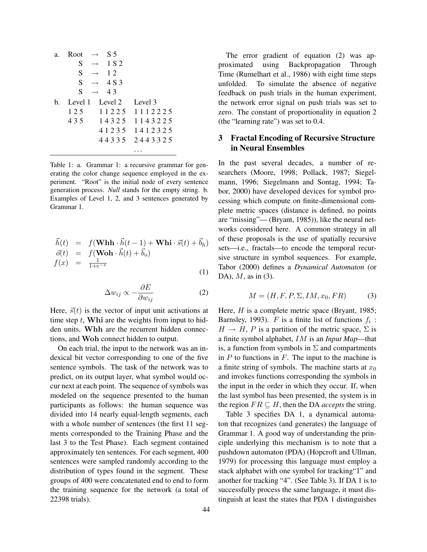| a. | Root $\rightarrow$ | S 5                     |                         |
|----|--------------------|-------------------------|-------------------------|
|    | S                  | $\rightarrow$ 1 S 2     |                         |
|    | S                  | $\rightarrow$ 12        |                         |
|    | S                  | $\rightarrow$ 4 S 3     |                         |
|    | S                  | $\rightarrow$ 43        |                         |
| h. |                    | Level 1 Level 2 Level 3 |                         |
|    | 125                |                         | 11225 1112225           |
|    | 435                |                         | 14325 1143225           |
|    |                    |                         | 4 1 2 3 5 1 4 1 2 3 2 5 |
|    |                    |                         | 44335 2443325           |
|    |                    |                         |                         |

Table 1: a. Grammar 1: a recursive grammar for generating the color change sequence employed in the experiment. "Root" is the initial node of every sentence generation process. *Null* stands for the empty string. b. Examples of Level 1, 2, and 3 sentences generated by Grammar 1.

$$
\begin{array}{rcl}\n\vec{h}(t) & = & f(\mathbf{Whh} \cdot \vec{h}(t-1) + \mathbf{Whi} \cdot \vec{s}(t) + \vec{b}_h) \\
\vec{o}(t) & = & f(\mathbf{Woh} \cdot \vec{h}(t) + \vec{b}_o) \\
f(x) & = & \frac{1}{1 + e^{-x}}\n\end{array} \tag{1}
$$

$$
\Delta w_{ij} \propto -\frac{\partial E}{\partial w_{ij}}\tag{2}
$$

Here,  $\vec{s}(t)$  is the vector of input unit activations at time step  $t$ , Whi are the weights from input to hidden units, Whh are the recurrent hidden connections, and Woh connect hidden to output.

On each trial, the input to the network was an indexical bit vector corresponding to one of the five sentence symbols. The task of the network was to predict, on its output layer, what symbol would occur next at each point. The sequence of symbols was modeled on the sequence presented to the human participants as follows: the human sequence was divided into 14 nearly equal-length segments, each with a whole number of sentences (the first 11 segments corresponded to the Training Phase and the last 3 to the Test Phase). Each segment contained approximately ten sentences. For each segment, 400 sentences were sampled randomly according to the distribution of types found in the segment. These groups of 400 were concatenated end to end to form the training sequence for the network (a total of 22398 trials).

The error gradient of equation (2) was approximated using Backpropagation Through Time (Rumelhart et al., 1986) with eight time steps unfolded. To simulate the absence of negative feedback on push trials in the human experiment, the network error signal on push trials was set to zero. The constant of proportionality in equation 2 (the "learning rate") was set to 0.4.

## 3 Fractal Encoding of Recursive Structure in Neural Ensembles

In the past several decades, a number of researchers (Moore, 1998; Pollack, 1987; Siegelmann, 1996; Siegelmann and Sontag, 1994; Tabor, 2000) have developed devices for symbol processing which compute on finite-dimensional complete metric spaces (distance is defined, no points are "missing"— (Bryant, 1985)), like the neural networks considered here. A common strategy in all of these proposals is the use of spatially recursive sets—i.e., fractals—to encode the temporal recursive structure in symbol sequences. For example, Tabor (2000) defines a *Dynamical Automaton* (or DA),  $M$ , as in (3).

$$
M = (H, F, P, \Sigma, IM, x_0, FR) \tag{3}
$$

Here,  $H$  is a complete metric space (Bryant, 1985; Barnsley, 1993). F is a finite list of functions  $f_i$ :  $H \rightarrow H$ , P is a partition of the metric space,  $\Sigma$  is a finite symbol alphabet, IM is an *Input Map*—that is, a function from symbols in  $\Sigma$  and compartments in  $P$  to functions in  $F$ . The input to the machine is a finite string of symbols. The machine starts at  $x_0$ and invokes functions corresponding the symbols in the input in the order in which they occur. If, when the last symbol has been presented, the system is in the region  $FR \subseteq H$ , then the DA *accepts* the string.

Table 3 specifies DA 1, a dynamical automaton that recognizes (and generates) the language of Grammar 1. A good way of understanding the principle underlying this mechanism is to note that a pushdown automaton (PDA) (Hopcroft and Ullman, 1979) for processing this language must employ a stack alphabet with one symbol for tracking"1" and another for tracking "4". (See Table 3). If DA 1 is to successfully process the same language, it must distinguish at least the states that PDA 1 distinguishes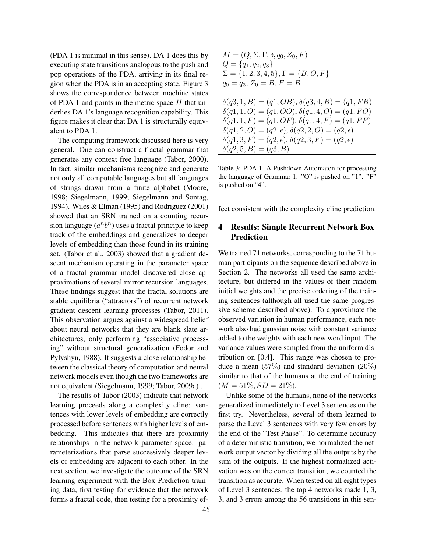(PDA 1 is minimal in this sense). DA 1 does this by executing state transitions analogous to the push and pop operations of the PDA, arriving in its final region when the PDA is in an accepting state. Figure 3 shows the correspondence between machine states of PDA 1 and points in the metric space  $H$  that underlies DA 1's language recognition capability. This figure makes it clear that DA 1 is structurally equivalent to PDA 1.

The computing framework discussed here is very general. One can construct a fractal grammar that generates any context free language (Tabor, 2000). In fact, similar mechanisms recognize and generate not only all computable languages but all languages of strings drawn from a finite alphabet (Moore, 1998; Siegelmann, 1999; Siegelmann and Sontag, 1994). Wiles & Elman (1995) and Rodriguez (2001) showed that an SRN trained on a counting recursion language  $(a^n b^n)$  uses a fractal principle to keep track of the embeddings and generalizes to deeper levels of embedding than those found in its training set. (Tabor et al., 2003) showed that a gradient descent mechanism operating in the parameter space of a fractal grammar model discovered close approximations of several mirror recursion languages. These findings suggest that the fractal solutions are stable equilibria ("attractors") of recurrent network gradient descent learning processes (Tabor, 2011). This observation argues against a widespread belief about neural networks that they are blank slate architectures, only performing "associative processing" without structural generalization (Fodor and Pylyshyn, 1988). It suggests a close relationship between the classical theory of computation and neural network models even though the two frameworks are not equivalent (Siegelmann, 1999; Tabor, 2009a) .

The results of Tabor (2003) indicate that network learning proceeds along a complexity cline: sentences with lower levels of embedding are correctly processed before sentences with higher levels of embedding. This indicates that there are proximity relationships in the network parameter space: parameterizations that parse successively deeper levels of embedding are adjacent to each other. In the next section, we investigate the outcome of the SRN learning experiment with the Box Prediction training data, first testing for evidence that the network forms a fractal code, then testing for a proximity ef-

$$
M = (Q, \Sigma, \Gamma, \delta, q_0, Z_0, F)
$$
  
\n
$$
Q = \{q_1, q_2, q_3\}
$$
  
\n
$$
\Sigma = \{1, 2, 3, 4, 5\}, \Gamma = \{B, O, F\}
$$
  
\n
$$
q_0 = q_3, Z_0 = B, F = B
$$
  
\n
$$
\delta(q_3, 1, B) = (q_1, OB), \delta(q_3, 4, B) = (q_1, FB)
$$
  
\n
$$
\delta(q_1, 1, O) = (q_1, OO), \delta(q_1, 4, O) = (q_1, FO)
$$
  
\n
$$
\delta(q_1, 1, F) = (q_1, OF), \delta(q_1, 4, F) = (q_1, FF)
$$
  
\n
$$
\delta(q_1, 2, O) = (q_2, \epsilon), \delta(q_2, 2, O) = (q_2, \epsilon)
$$
  
\n
$$
\delta(q_1, 3, F) = (q_2, \epsilon), \delta(q_2, 3, F) = (q_2, \epsilon)
$$
  
\n
$$
\delta(q_2, 5, B) = (q_3, B)
$$

Table 3: PDA 1. A Pushdown Automaton for processing the language of Grammar 1. "O" is pushed on "1". "F" is pushed on "4".

fect consistent with the complexity cline prediction.

# 4 Results: Simple Recurrent Network Box Prediction

We trained 71 networks, corresponding to the 71 human participants on the sequence described above in Section 2. The networks all used the same architecture, but differed in the values of their random initial weights and the precise ordering of the training sentences (although all used the same progressive scheme described above). To approximate the observed variation in human performance, each network also had gaussian noise with constant variance added to the weights with each new word input. The variance values were sampled from the uniform distribution on [0,4]. This range was chosen to produce a mean  $(57\%)$  and standard deviation  $(20\%)$ similar to that of the humans at the end of training  $(M = 51\%, SD = 21\%).$ 

Unlike some of the humans, none of the networks generalized immediately to Level 3 sentences on the first try. Nevertheless, several of them learned to parse the Level 3 sentences with very few errors by the end of the "Test Phase". To determine accuracy of a deterministic transition, we normalized the network output vector by dividing all the outputs by the sum of the outputs. If the highest normalized activation was on the correct transition, we counted the transition as accurate. When tested on all eight types of Level 3 sentences, the top 4 networks made 1, 3, 3, and 3 errors among the 56 transitions in this sen-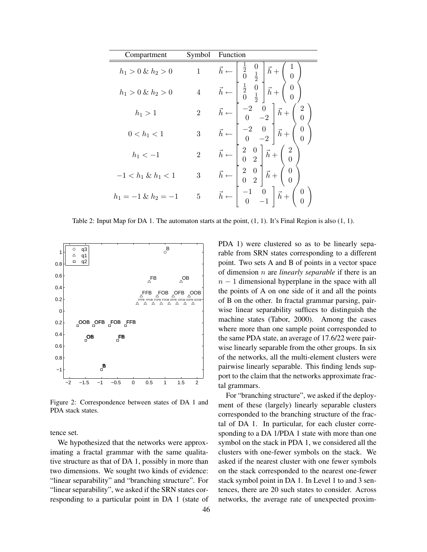| Compartment            | Symbol         | Function                                                                                                                             |
|------------------------|----------------|--------------------------------------------------------------------------------------------------------------------------------------|
| $h_1 > 0 \& h_2 > 0$   | $\mathbf{1}$   | $\vec{h} \leftarrow \left  \begin{array}{cc} \frac{1}{2} & \mathrm{U} \\ 0 & \frac{1}{2} \end{array} \right $<br>$\vec{h}$ +         |
| $h_1 > 0 \& h_2 > 0$   |                | $\vec{h} \leftarrow \begin{bmatrix} \frac{1}{2} & 0 \\ 0 & \frac{1}{2} \end{bmatrix} \vec{h} + \begin{pmatrix} 0 \\ 0 \end{pmatrix}$ |
| $h_1 > 1$              | $\overline{2}$ | $\vec{h} \leftarrow \begin{vmatrix} -2 & 0 \\ 0 & -2 \end{vmatrix} \vec{h} +$<br>$\begin{matrix} 2 \\ 0 \end{matrix}$                |
| $0 < h_1 < 1$          | 3              | $\vec{h} \leftarrow \begin{bmatrix} -2 & 0 \\ 0 & -2 \end{bmatrix} \vec{h} + \begin{bmatrix} 1 & 0 \\ 0 & -2 \end{bmatrix}$          |
| $h_1 < -1$             | $\overline{2}$ | $\vec{h} \leftarrow \begin{pmatrix} 2 & 0 \\ 0 & 2 \end{pmatrix} \vec{h} + \begin{pmatrix} 2 \\ 0 \end{pmatrix}$                     |
| $-1 < h_1 \& h_1 < 1$  | 3              | $\vec{h} \leftarrow \begin{bmatrix} 2 & 0 \\ 0 & 2 \end{bmatrix} \vec{h} + \begin{pmatrix} 0 \\ 0 \end{pmatrix}$                     |
| $h_1 = -1 \& h_2 = -1$ | 5              | $\vec{h} \leftarrow \begin{vmatrix} -1 & 0 \\ 0 & -1 \end{vmatrix}$<br>$ \vec{h}+$                                                   |

Table 2: Input Map for DA 1. The automaton starts at the point,  $(1, 1)$ . It's Final Region is also  $(1, 1)$ .



Figure 2: Correspondence between states of DA 1 and PDA stack states.

tence set.

We hypothesized that the networks were approximating a fractal grammar with the same qualitative structure as that of DA 1, possibly in more than two dimensions. We sought two kinds of evidence: "linear separability" and "branching structure". For "linear separability", we asked if the SRN states corresponding to a particular point in DA 1 (state of PDA 1) were clustered so as to be linearly separable from SRN states corresponding to a different point. Two sets A and B of points in a vector space of dimension n are *linearly separable* if there is an  $n - 1$  dimensional hyperplane in the space with all the points of A on one side of it and all the points of B on the other. In fractal grammar parsing, pairwise linear separability suffices to distinguish the machine states (Tabor, 2000). Among the cases where more than one sample point corresponded to the same PDA state, an average of 17.6/22 were pairwise linearly separable from the other groups. In six of the networks, all the multi-element clusters were pairwise linearly separable. This finding lends support to the claim that the networks approximate fractal grammars.

For "branching structure", we asked if the deployment of these (largely) linearly separable clusters corresponded to the branching structure of the fractal of DA 1. In particular, for each cluster corresponding to a DA 1/PDA 1 state with more than one symbol on the stack in PDA 1, we considered all the clusters with one-fewer symbols on the stack. We asked if the nearest cluster with one fewer symbols on the stack corresponded to the nearest one-fewer stack symbol point in DA 1. In Level 1 to and 3 sentences, there are 20 such states to consider. Across networks, the average rate of unexpected proxim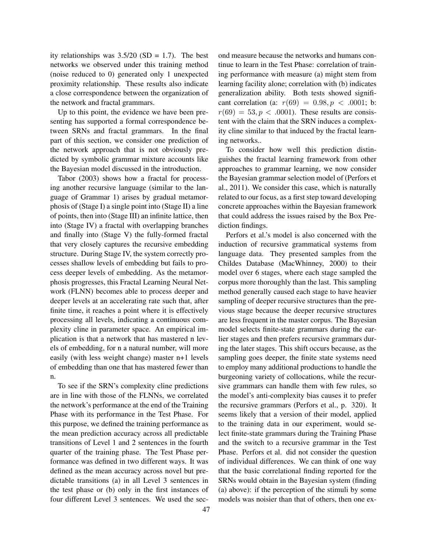ity relationships was  $3.5/20$  (SD = 1.7). The best networks we observed under this training method (noise reduced to 0) generated only 1 unexpected proximity relationship. These results also indicate a close correspondence between the organization of the network and fractal grammars.

Up to this point, the evidence we have been presenting has supported a formal correspondence between SRNs and fractal grammars. In the final part of this section, we consider one prediction of the network approach that is not obviously predicted by symbolic grammar mixture accounts like the Bayesian model discussed in the introduction.

Tabor (2003) shows how a fractal for processing another recursive language (similar to the language of Grammar 1) arises by gradual metamorphosis of (Stage I) a single point into (Stage II) a line of points, then into (Stage III) an infinite lattice, then into (Stage IV) a fractal with overlapping branches and finally into (Stage V) the fully-formed fractal that very closely captures the recursive embedding structure. During Stage IV, the system correctly processes shallow levels of embedding but fails to process deeper levels of embedding. As the metamorphosis progresses, this Fractal Learning Neural Network (FLNN) becomes able to process deeper and deeper levels at an accelerating rate such that, after finite time, it reaches a point where it is effectively processing all levels, indicating a continuous complexity cline in parameter space. An empirical implication is that a network that has mastered n levels of embedding, for n a natural number, will more easily (with less weight change) master n+1 levels of embedding than one that has mastered fewer than n.

To see if the SRN's complexity cline predictions are in line with those of the FLNNs, we correlated the network's performance at the end of the Training Phase with its performance in the Test Phase. For this purpose, we defined the training performance as the mean prediction accuracy across all predictable transitions of Level 1 and 2 sentences in the fourth quarter of the training phase. The Test Phase performance was defined in two different ways. It was defined as the mean accuracy across novel but predictable transitions (a) in all Level 3 sentences in the test phase or (b) only in the first instances of four different Level 3 sentences. We used the second measure because the networks and humans continue to learn in the Test Phase: correlation of training performance with measure (a) might stem from learning facility alone; correlation with (b) indicates generalization ability. Both tests showed significant correlation (a:  $r(69) = 0.98, p < .0001$ ; b:  $r(69) = 53, p < .0001$ . These results are consistent with the claim that the SRN induces a complexity cline similar to that induced by the fractal learning networks..

To consider how well this prediction distinguishes the fractal learning framework from other approaches to grammar learning, we now consider the Bayesian grammar selection model of (Perfors et al., 2011). We consider this case, which is naturally related to our focus, as a first step toward developing concrete approaches within the Bayesian framework that could address the issues raised by the Box Prediction findings.

Perfors et al.'s model is also concerned with the induction of recursive grammatical systems from language data. They presented samples from the Childes Database (MacWhinney, 2000) to their model over 6 stages, where each stage sampled the corpus more thoroughly than the last. This sampling method generally caused each stage to have heavier sampling of deeper recursive structures than the previous stage because the deeper recursive structures are less frequent in the master corpus. The Bayesian model selects finite-state grammars during the earlier stages and then prefers recursive grammars during the later stages. This shift occurs because, as the sampling goes deeper, the finite state systems need to employ many additional productions to handle the burgeoning variety of collocations, while the recursive grammars can handle them with few rules, so the model's anti-complexity bias causes it to prefer the recursive grammars (Perfors et al., p. 320). It seems likely that a version of their model, applied to the training data in our experiment, would select finite-state grammars during the Training Phase and the switch to a recursive grammar in the Test Phase. Perfors et al. did not consider the question of individual differences. We can think of one way that the basic correlational finding reported for the SRNs would obtain in the Bayesian system (finding (a) above): if the perception of the stimuli by some models was noisier than that of others, then one ex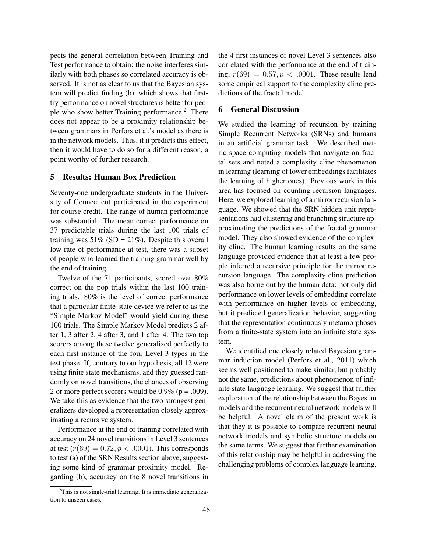pects the general correlation between Training and Test performance to obtain: the noise interferes similarly with both phases so correlated accuracy is observed. It is not as clear to us that the Bayesian system will predict finding (b), which shows that firsttry performance on novel structures is better for people who show better Training performance.<sup>2</sup> There does not appear to be a proximity relationship between grammars in Perfors et al.'s model as there is in the network models. Thus, if it predicts this effect, then it would have to do so for a different reason, a point worthy of further research.

#### 5 Results: Human Box Prediction

Seventy-one undergraduate students in the University of Connecticut participated in the experiment for course credit. The range of human performance was substantial. The mean correct performance on 37 predictable trials during the last 100 trials of training was  $51\%$  (SD =  $21\%$ ). Despite this overall low rate of performance at test, there was a subset of people who learned the training grammar well by the end of training.

Twelve of the 71 participants, scored over 80% correct on the pop trials within the last 100 training trials. 80% is the level of correct performance that a particular finite-state device we refer to as the "Simple Markov Model" would yield during these 100 trials. The Simple Markov Model predicts 2 after 1, 3 after 2, 4 after 3, and 1 after 4. The two top scorers among these twelve generalized perfectly to each first instance of the four Level 3 types in the test phase. If, contrary to our hypothesis, all 12 were using finite state mechanisms, and they guessed randomly on novel transitions, the chances of observing 2 or more perfect scorers would be  $0.9\%$  (p = .009). We take this as evidence that the two strongest generalizers developed a representation closely approximating a recursive system.

Performance at the end of training correlated with accuracy on 24 novel transitions in Level 3 sentences at test  $(r(69) = 0.72, p < .0001)$ . This corresponds to test (a) of the SRN Results section above, suggesting some kind of grammar proximity model. Regarding (b), accuracy on the 8 novel transitions in the 4 first instances of novel Level 3 sentences also correlated with the performance at the end of training,  $r(69) = 0.57, p < .0001$ . These results lend some empirical support to the complexity cline predictions of the fractal model.

## 6 General Discussion

We studied the learning of recursion by training Simple Recurrent Networks (SRNs) and humans in an artificial grammar task. We described metric space computing models that navigate on fractal sets and noted a complexity cline phenomenon in learning (learning of lower embeddings facilitates the learning of higher ones). Previous work in this area has focused on counting recursion languages. Here, we explored learning of a mirror recursion language. We showed that the SRN hidden unit representations had clustering and branching structure approximating the predictions of the fractal grammar model. They also showed evidence of the complexity cline. The human learning results on the same language provided evidence that at least a few people inferred a recursive principle for the mirror recursion language. The complexity cline prediction was also borne out by the human data: not only did performance on lower levels of embedding correlate with performance on higher levels of embedding, but it predicted generalization behavior, suggesting that the representation continuously metamorphoses from a finite-state system into an infinite state system.

We identified one closely related Bayesian grammar induction model (Perfors et al., 2011) which seems well positioned to make similar, but probably not the same, predictions about phenomenon of infinite state language learning. We suggest that further exploration of the relationship between the Bayesian models and the recurrent neural network models will be helpful. A novel claim of the present work is that they it is possible to compare recurrent neural network models and symbolic structure models on the same terms. We suggest that further examination of this relationship may be helpful in addressing the challenging problems of complex language learning.

 $2$ This is not single-trial learning. It is immediate generalization to unseen cases.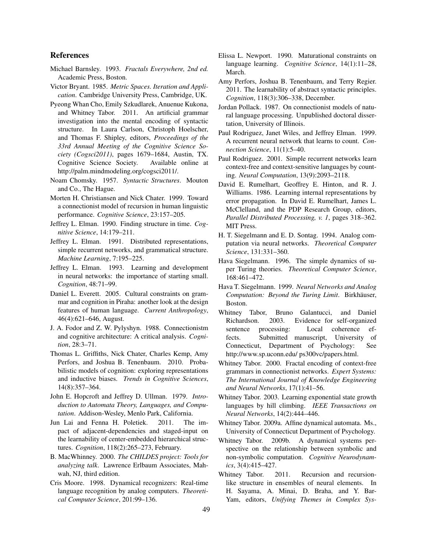#### References

- Michael Barnsley. 1993. *Fractals Everywhere, 2nd ed.* Academic Press, Boston.
- Victor Bryant. 1985. *Metric Spaces. Iteration and Application*. Cambridge University Press, Cambridge, UK.
- Pyeong Whan Cho, Emily Szkudlarek, Anuenue Kukona, and Whitney Tabor. 2011. An artificial grammar investigation into the mental encoding of syntactic structure. In Laura Carlson, Christoph Hoelscher, and Thomas F. Shipley, editors, *Proceedings of the 33rd Annual Meeting of the Cognitive Science Society (Cogsci2011)*, pages 1679–1684, Austin, TX. Cognitive Science Society. Available online at http://palm.mindmodeling.org/cogsci2011/.
- Noam Chomsky. 1957. *Syntactic Structures*. Mouton and Co., The Hague.
- Morten H. Christiansen and Nick Chater. 1999. Toward a connectionist model of recursion in human linguistic performance. *Cognitive Science*, 23:157–205.
- Jeffrey L. Elman. 1990. Finding structure in time. *Cognitive Science*, 14:179–211.
- Jeffrey L. Elman. 1991. Distributed representations, simple recurrent networks, and grammatical structure. *Machine Learning*, 7:195–225.
- Jeffrey L. Elman. 1993. Learning and development in neural networks: the importance of starting small. *Cognition*, 48:71–99.
- Daniel L. Everett. 2005. Cultural constraints on grammar and cognition in Piraha: another look at the design features of human language. *Current Anthropology*, 46(4):621–646, August.
- J. A. Fodor and Z. W. Pylyshyn. 1988. Connectionistm and cognitive architecture: A critical analysis. *Cognition*, 28:3–71.
- Thomas L. Griffiths, Nick Chater, Charles Kemp, Amy Perfors, and Joshua B. Tenenbaum. 2010. Probabilistic models of cognition: exploring representations and inductive biases. *Trends in Cognitive Sciences*, 14(8):357–364.
- John E. Hopcroft and Jeffrey D. Ullman. 1979. *Introduction to Automata Theory, Languages, and Computation*. Addison-Wesley, Menlo Park, California.
- Jun Lai and Fenna H. Poletiek. 2011. The impact of adjacent-dependencies and staged-input on the learnability of center-embedded hierarchical structures. *Cognition*, 118(2):265–273, February.
- B. MacWhinney. 2000. *The CHILDES project: Tools for analyzing talk*. Lawrence Erlbaum Associates, Mahwah, NJ, third edition.
- Cris Moore. 1998. Dynamical recognizers: Real-time language recognition by analog computers. *Theoretical Computer Science*, 201:99–136.
- Elissa L. Newport. 1990. Maturational constraints on language learning. *Cognitive Science*, 14(1):11–28, March.
- Amy Perfors, Joshua B. Tenenbaum, and Terry Regier. 2011. The learnability of abstract syntactic principles. *Cognition*, 118(3):306–338, December.
- Jordan Pollack. 1987. On connectionist models of natural language processing. Unpublished doctoral dissertation, University of Illinois.
- Paul Rodriguez, Janet Wiles, and Jeffrey Elman. 1999. A recurrent neural network that learns to count. *Connection Science*, 11(1):5–40.
- Paul Rodriguez. 2001. Simple recurrent networks learn context-free and context-sensitive languages by counting. *Neural Computation*, 13(9):2093–2118.
- David E. Rumelhart, Geoffrey E. Hinton, and R. J. Williams. 1986. Learning internal representations by error propagation. In David E. Rumelhart, James L. McClelland, and the PDP Research Group, editors, *Parallel Distributed Processing, v. 1*, pages 318–362. MIT Press.
- H. T. Siegelmann and E. D. Sontag. 1994. Analog computation via neural networks. *Theoretical Computer Science*, 131:331–360.
- Hava Siegelmann. 1996. The simple dynamics of super Turing theories. *Theoretical Computer Science*, 168:461–472.
- Hava T. Siegelmann. 1999. *Neural Networks and Analog Computation: Beyond the Turing Limit. Birkhäuser,* Boston.
- Whitney Tabor, Bruno Galantucci, and Daniel Richardson. 2003. Evidence for self-organized sentence processing: Local coherence effects. Submitted manuscript, University of Connecticut, Department of Psychology: See http://www.sp.uconn.edu/ ps300vc/papers.html.
- Whitney Tabor. 2000. Fractal encoding of context-free grammars in connectionist networks. *Expert Systems: The International Journal of Knowledge Engineering and Neural Networks*, 17(1):41–56.
- Whitney Tabor. 2003. Learning exponential state growth languages by hill climbing. *IEEE Transactions on Neural Networks*, 14(2):444–446.
- Whitney Tabor. 2009a. Affine dynamical automata. Ms., University of Connecticut Department of Psychology.
- Whitney Tabor. 2009b. A dynamical systems perspective on the relationship between symbolic and non-symbolic computation. *Cognitive Neurodynamics*, 3(4):415–427.
- Whitney Tabor. 2011. Recursion and recursionlike structure in ensembles of neural elements. In H. Sayama, A. Minai, D. Braha, and Y. Bar-Yam, editors, *Unifying Themes in Complex Sys-*